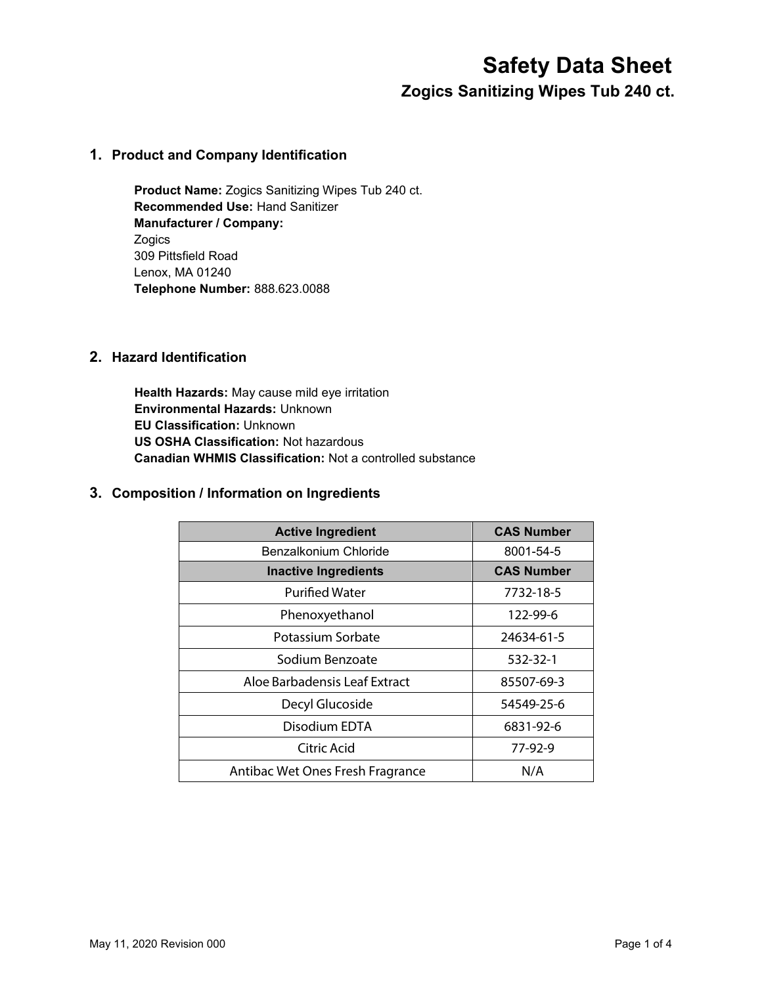#### **1. Product and Company Identification**

**Product Name:** Zogics Sanitizing Wipes Tub 240 ct. **Recommended Use:** Hand Sanitizer **Manufacturer / Company:**  Zogics 309 Pittsfield Road Lenox, MA 01240 **Telephone Number:** 888.623.0088

# **2. Hazard Identification**

**Health Hazards:** May cause mild eye irritation **Environmental Hazards:** Unknown **EU Classification:** Unknown **US OSHA Classification:** Not hazardous **Canadian WHMIS Classification:** Not a controlled substance

### **3. Composition / Information on Ingredients**

| <b>Active Ingredient</b>         | <b>CAS Number</b> |
|----------------------------------|-------------------|
| Benzalkonium Chloride            | 8001-54-5         |
| <b>Inactive Ingredients</b>      | <b>CAS Number</b> |
| <b>Purified Water</b>            | 7732-18-5         |
| Phenoxyethanol                   | 122-99-6          |
| Potassium Sorbate                | 24634-61-5        |
| Sodium Benzoate                  | 532-32-1          |
| Aloe Barbadensis Leaf Extract    | 85507-69-3        |
| Decyl Glucoside                  | 54549-25-6        |
| Disodium EDTA                    | 6831-92-6         |
| Citric Acid                      | 77-92-9           |
| Antibac Wet Ones Fresh Fragrance | N/A               |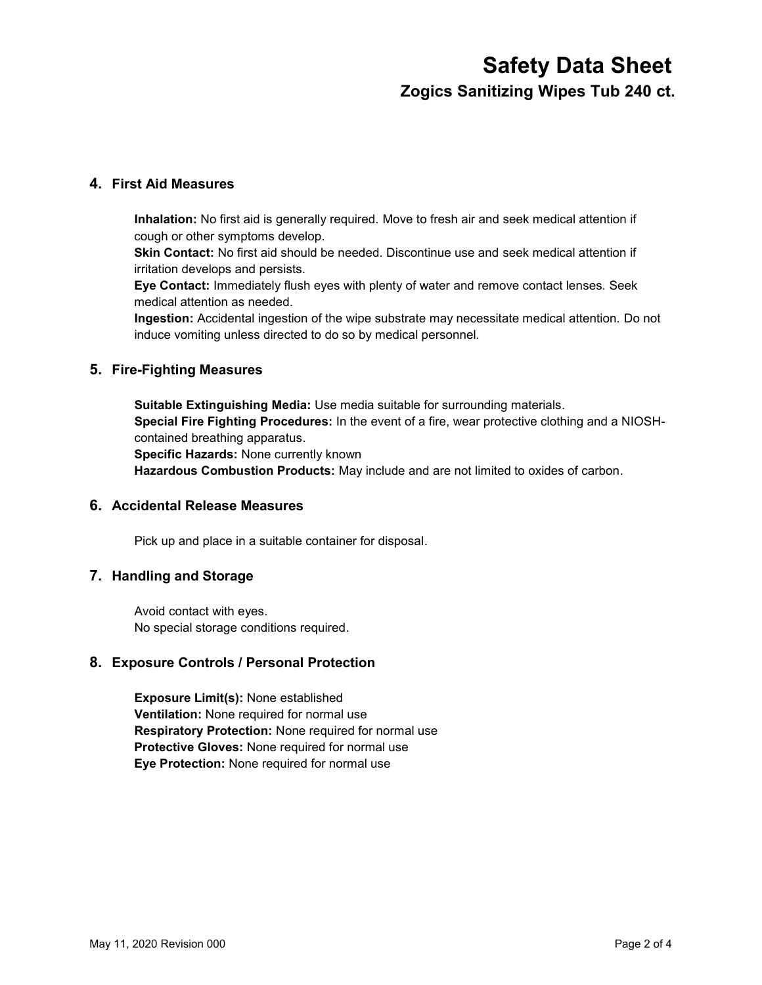### **4. First Aid Measures**

**Inhalation:** No first aid is generally required. Move to fresh air and seek medical attention if cough or other symptoms develop.

**Skin Contact:** No first aid should be needed. Discontinue use and seek medical attention if irritation develops and persists.

**Eye Contact:** Immediately flush eyes with plenty of water and remove contact lenses. Seek medical attention as needed.

**Ingestion:** Accidental ingestion of the wipe substrate may necessitate medical attention. Do not induce vomiting unless directed to do so by medical personnel.

### **5. Fire-Fighting Measures**

**Suitable Extinguishing Media:** Use media suitable for surrounding materials. **Special Fire Fighting Procedures:** In the event of a fire, wear protective clothing and a NIOSHcontained breathing apparatus.

**Specific Hazards:** None currently known

**Hazardous Combustion Products:** May include and are not limited to oxides of carbon.

## **6. Accidental Release Measures**

Pick up and place in a suitable container for disposal.

#### **7. Handling and Storage**

Avoid contact with eyes. No special storage conditions required.

#### **8. Exposure Controls / Personal Protection**

**Exposure Limit(s):** None established **Ventilation:** None required for normal use **Respiratory Protection:** None required for normal use **Protective Gloves:** None required for normal use **Eye Protection:** None required for normal use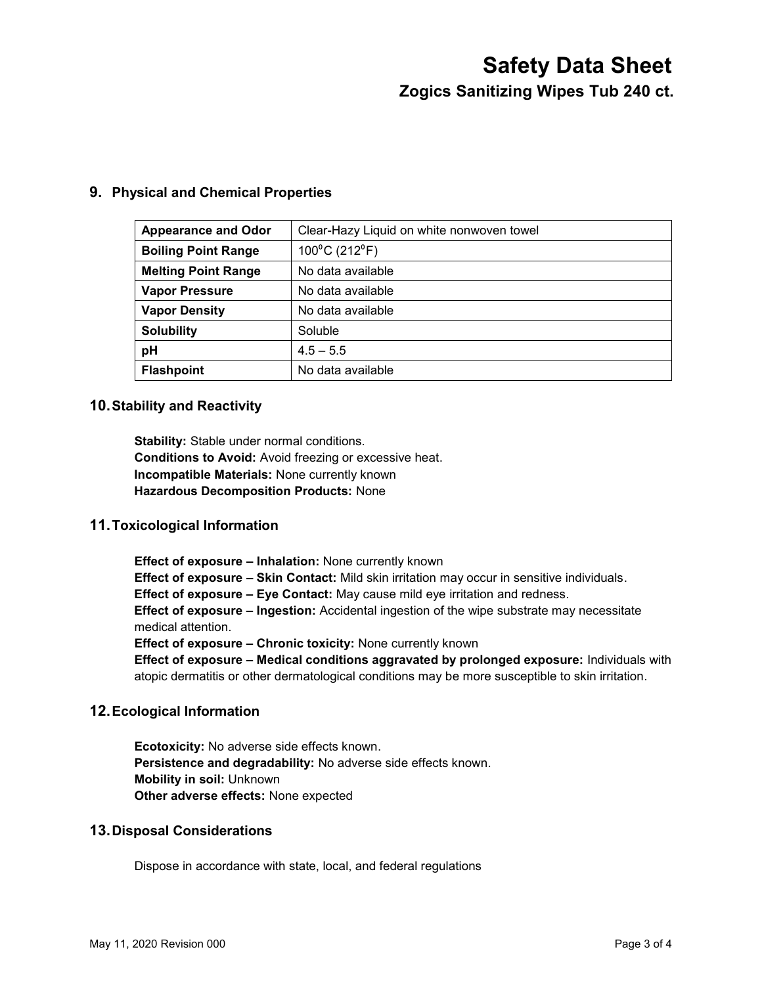## **9. Physical and Chemical Properties**

| <b>Appearance and Odor</b> | Clear-Hazy Liquid on white nonwoven towel |
|----------------------------|-------------------------------------------|
| <b>Boiling Point Range</b> | 100°C (212°F)                             |
| <b>Melting Point Range</b> | No data available                         |
| <b>Vapor Pressure</b>      | No data available                         |
| <b>Vapor Density</b>       | No data available                         |
| <b>Solubility</b>          | Soluble                                   |
| рH                         | $4.5 - 5.5$                               |
| <b>Flashpoint</b>          | No data available                         |

#### **10. Stability and Reactivity**

**Stability:** Stable under normal conditions. **Conditions to Avoid:** Avoid freezing or excessive heat. **Incompatible Materials:** None currently known **Hazardous Decomposition Products:** None

## **11. Toxicological Information**

**Effect of exposure – Inhalation:** None currently known **Effect of exposure – Skin Contact:** Mild skin irritation may occur in sensitive individuals. **Effect of exposure – Eye Contact:** May cause mild eye irritation and redness. **Effect of exposure – Ingestion:** Accidental ingestion of the wipe substrate may necessitate medical attention. **Effect of exposure – Chronic toxicity:** None currently known **Effect of exposure – Medical conditions aggravated by prolonged exposure:** Individuals with atopic dermatitis or other dermatological conditions may be more susceptible to skin irritation.

## **12. Ecological Information**

**Ecotoxicity:** No adverse side effects known. **Persistence and degradability:** No adverse side effects known. **Mobility in soil:** Unknown **Other adverse effects:** None expected

## **13. Disposal Considerations**

Dispose in accordance with state, local, and federal regulations